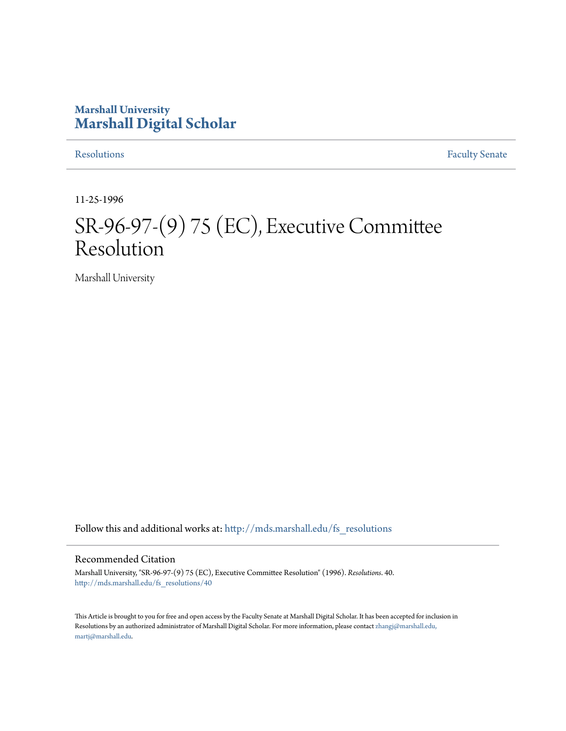## **Marshall University [Marshall Digital Scholar](http://mds.marshall.edu?utm_source=mds.marshall.edu%2Ffs_resolutions%2F40&utm_medium=PDF&utm_campaign=PDFCoverPages)**

[Resolutions](http://mds.marshall.edu/fs_resolutions?utm_source=mds.marshall.edu%2Ffs_resolutions%2F40&utm_medium=PDF&utm_campaign=PDFCoverPages) [Faculty Senate](http://mds.marshall.edu/fs?utm_source=mds.marshall.edu%2Ffs_resolutions%2F40&utm_medium=PDF&utm_campaign=PDFCoverPages)

11-25-1996

# SR-96-97-(9) 75 (EC), Executive Committee Resolution

Marshall University

Follow this and additional works at: [http://mds.marshall.edu/fs\\_resolutions](http://mds.marshall.edu/fs_resolutions?utm_source=mds.marshall.edu%2Ffs_resolutions%2F40&utm_medium=PDF&utm_campaign=PDFCoverPages)

### Recommended Citation

Marshall University, "SR-96-97-(9) 75 (EC), Executive Committee Resolution" (1996). *Resolutions*. 40. [http://mds.marshall.edu/fs\\_resolutions/40](http://mds.marshall.edu/fs_resolutions/40?utm_source=mds.marshall.edu%2Ffs_resolutions%2F40&utm_medium=PDF&utm_campaign=PDFCoverPages)

This Article is brought to you for free and open access by the Faculty Senate at Marshall Digital Scholar. It has been accepted for inclusion in Resolutions by an authorized administrator of Marshall Digital Scholar. For more information, please contact [zhangj@marshall.edu,](mailto:zhangj@marshall.edu,%20martj@marshall.edu) [martj@marshall.edu](mailto:zhangj@marshall.edu,%20martj@marshall.edu).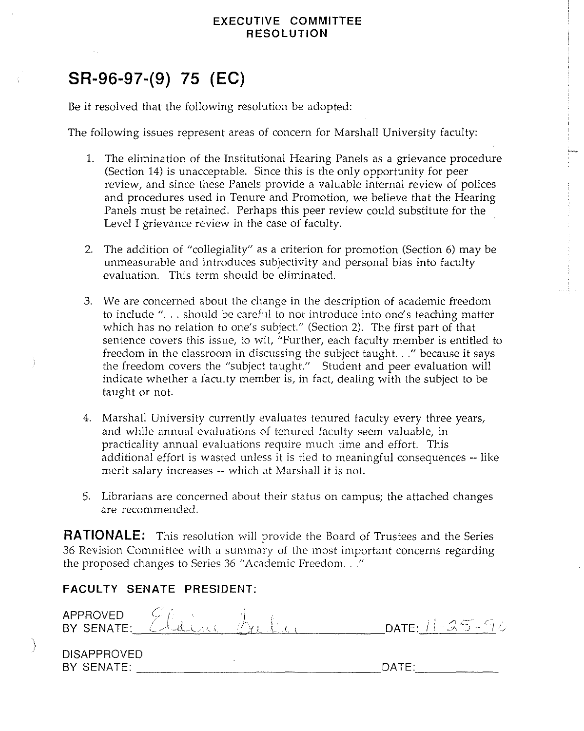## **EXECUTIVE COMMITTEE RESOLUTION**

## **SR-96-97-(9) 75 (EC)**

Be it resolved that the following resolution be adopted:

The following issues represent areas of concern for Marshall University faculty:

- 1. The elimination of the Institutional Hearing Panels as a grievance procedure (Section 14) is unacceptable. Since this is the only opportunity for peer review, and since these Panels provide a valuable internal review of polices and procedures used in Tenure and Promotion, we believe that the Hearing Panels must be retained. Perhaps this peer review could substitute for the Level I grievance review in the case of faculty.
- 2. The addition of "collegiality" as a criterion for promotion (Section 6) may be unmeasurable and introduces subjectivity and personal bias into faculty evaluation. This term should be eliminated.
- 3. We are concerned about the change in the description of academic freedom to include "... should be careful to not introduce into one's teaching matter which has no relation to one's subject." (Section 2). The first part of that sentence covers this issue, to wit, "Further, each faculty member is entitled to freedom in the classroom in discussing the subject taught. .. " because it says the freedom covers the "subject taught." Student and peer evaluation will indicate whether a faculty member is, in fact, dealing with the subject to be taught or not.
- 4. Marshall University currently evaluates tenured faculty every three years, and while annual evaluations of tenured faculty seem valuable, in practicality annual evaluations require much time and effort. This additional effort is wasted unless it is tied to meaningful consequences -- like merit salary increases -- which at Marshall it is not.
- 5. Librarians are concerned about their status on campus; the attached changes are recommended.

**RATIONALE:** This resolution will provide the Board of Trustees and the Series 36 Revision Committee with a summary of the most important concerns regarding the proposed changes to Series 36 "Academic Freedom ... "

## **FACULTY SENATE PRESIDENT:**

| APPROVED CLANA                   |  | DATE: $11 - 25 - 96$ |  |
|----------------------------------|--|----------------------|--|
| <b>DISAPPROVED</b><br>BY SENATE: |  | DATE.                |  |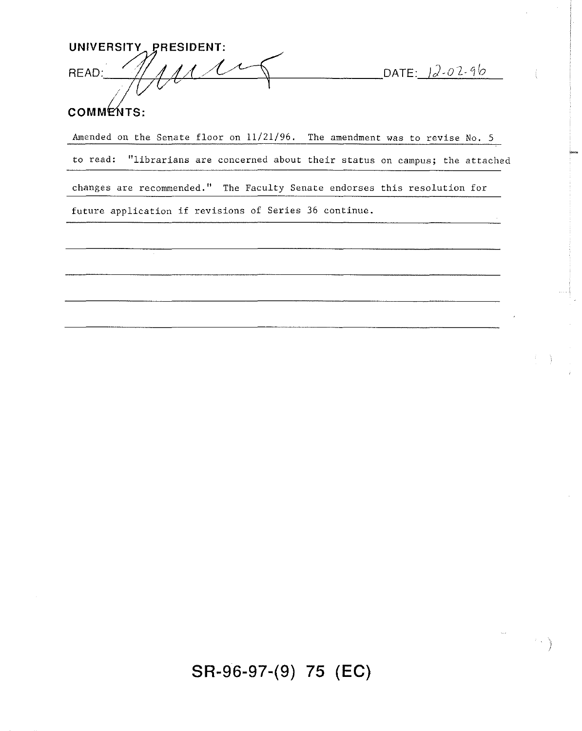UNIVERSITY PRESIDENT:  $\overline{\mathcal{C}}$ **READ:** 

DATE: 12-02-96

## COMMENTS:

Amended on the Senate floor on 11/21/96. The amendment was to revise No. 5 to read: "librarians are concerned about their status on campus; the attached changes are recommended." The Faculty Senate endorses this resolution for future application if revisions of Series 36 continue.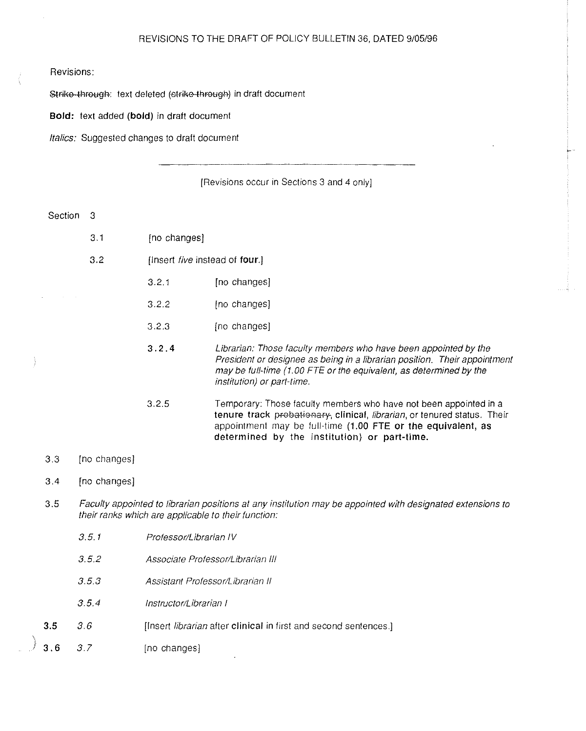#### REVISIONS TO THE DRAFT OF POLICY BULLETIN 36, DATED 9105196

#### Revisions:

Strike-through: text deleted (strike-through) in draft document

**Bold:** text added (bold) in draft document

Italics: Suggested changes to draft document

[Revisions occur in Sections 3 and 4 only]

Section 3

- 3.1 [no changes]
- 3.2 [Insert five instead of four.]
	- 3.2.1 [no changes]
		- 3.2.2 [no changes]
		- 3.2.3 [no changes]
		- 3.2.4 Librarian: Those faculty members who have been appointed by the President or designee as being in a librarian position. Their appointment may be full-time (1.00 FTE or the equivalent, as determined by the institution) or part-time.
		- 3.2.5 Temporary: Those faculty members who have not been appointed in a tenure track probationary, clinical, librarian, or tenured status. Their appointment may be full-time (1.00 FTE or the equivalent, as determined by the institution) or part-time.
- 3.3 [no changes]

#### 3 .4 [no changes]

- 3 .5 Faculty appointed to librarian positions at any institution may be appointed with designated extensions to their ranks which are applicable to their function:
	- *3.5.1* Professor/Librarian IV
	- *3.5.2* Associate Professor/Librarian Ill
	- *3.5.3* Assistant Professor/Librarian II
	- *3.5.4* Instructor/Librarian I
- 3.5 3.6 **[Insert librarian after clinical in first and second sentences.]**
- 3.6 *3.7* [no changes]